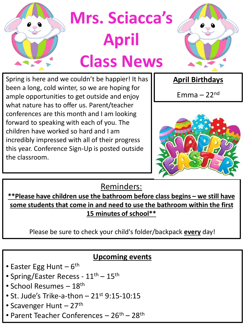

Spring is here and we couldn't be happier! It has been a long, cold winter, so we are hoping for ample opportunities to get outside and enjoy what nature has to offer us. Parent/teacher conferences are this month and I am looking forward to speaking with each of you. The children have worked so hard and I am incredibly impressed with all of their progress this year. Conference Sign-Up is posted outside the classroom.

**April Birthdays**

Emma  $-22<sup>nd</sup>$ 



Reminders:

**\*\*Please have children use the bathroom before class begins – we still have some students that come in and need to use the bathroom within the first 15 minutes of school\*\*** 

Please be sure to check your child's folder/backpack **every** day!

## **Upcoming events**

- Easter Egg Hunt 6<sup>th</sup>
- Spring/Easter Recess 11<sup>th</sup> 15<sup>th</sup>
- School Resumes 18th
- St. Jude's Trike-a-thon  $-21$ <sup>st</sup> 9:15-10:15
- Scavenger Hunt  $-27$ <sup>th</sup>
- Parent Teacher Conferences 26<sup>th</sup> 28<sup>th</sup>